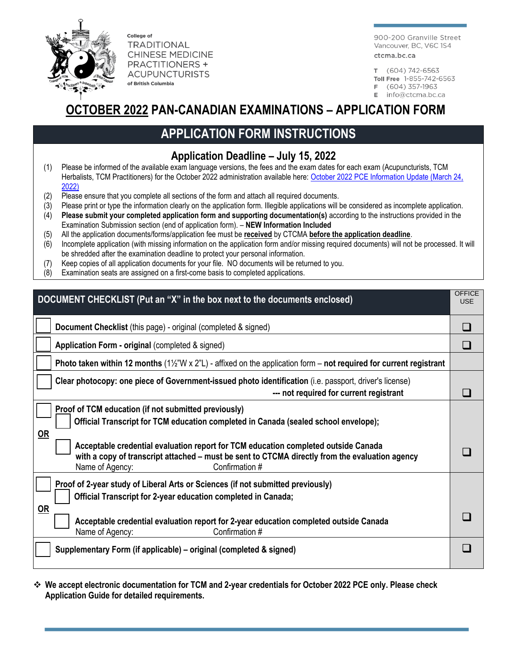

College of TRADITIONAL **CHINESE MEDICINE PRACTITIONERS + ACUPUNCTURISTS** of British Columbia

900-200 Granville Street Vancouver, BC, V6C 1S4 ctcma.bc.ca

T (604) 742-6563

- Toll Free 1-855-742-6563
- F (604) 357-1963
- $E$  info@ctcma.bc.ca

# **OCTOBER 2022 PAN-CANADIAN EXAMINATIONS – APPLICATION FORM**

# **APPLICATION FORM INSTRUCTIONS**

### **Application Deadline – July 15, 2022**

- (1) Please be informed of the available exam language versions, the fees and the exam dates for each exam (Acupuncturists, TCM Herbalists, TCM Practitioners) for the October 2022 administration available here: October 2022 PCE Information Update (March 24, 2022)
- (2) Please ensure that you complete all sections of the form and attach all required documents.
- (3) Please print or type the information clearly on the application form. Illegible applications will be considered as incomplete application.
- (4) **Please submit your completed application form and supporting documentation(s)** according to the instructions provided in the Examination Submission section (end of application form). – **NEW Information Included**
- (5) All the application documents/forms/application fee must be **received** by CTCMA **before the application deadline**.
- (6) Incomplete application (with missing information on the application form and/or missing required documents) will not be processed. It will be shredded after the examination deadline to protect your personal information.
- (7) Keep copies of all application documents for your file. NO documents will be returned to you.
- (8) Examination seats are assigned on a first-come basis to completed applications.

| DOCUMENT CHECKLIST (Put an "X" in the box next to the documents enclosed)                                                                                                                                                 | <b>OFFICE</b><br><b>USE</b> |  |
|---------------------------------------------------------------------------------------------------------------------------------------------------------------------------------------------------------------------------|-----------------------------|--|
| <b>Document Checklist</b> (this page) - original (completed & signed)                                                                                                                                                     |                             |  |
| Application Form - original (completed & signed)                                                                                                                                                                          |                             |  |
| Photo taken within 12 months ( $1\frac{1}{2}$ "W x 2"L) - affixed on the application form – not required for current registrant                                                                                           |                             |  |
| Clear photocopy: one piece of Government-issued photo identification (i.e. passport, driver's license)<br>--- not required for current registrant                                                                         |                             |  |
| Proof of TCM education (if not submitted previously)<br>Official Transcript for TCM education completed in Canada (sealed school envelope);<br>OR                                                                         |                             |  |
| Acceptable credential evaluation report for TCM education completed outside Canada<br>with a copy of transcript attached – must be sent to CTCMA directly from the evaluation agency<br>Name of Agency:<br>Confirmation # |                             |  |
| Proof of 2-year study of Liberal Arts or Sciences (if not submitted previously)<br>Official Transcript for 2-year education completed in Canada;<br>OR                                                                    |                             |  |
| Acceptable credential evaluation report for 2-year education completed outside Canada<br>Name of Agency:<br>Confirmation #                                                                                                |                             |  |
| Supplementary Form (if applicable) – original (completed & signed)                                                                                                                                                        |                             |  |

❖ **We accept electronic documentation for TCM and 2-year credentials for October 2022 PCE only. Please check Application Guide for detailed requirements.**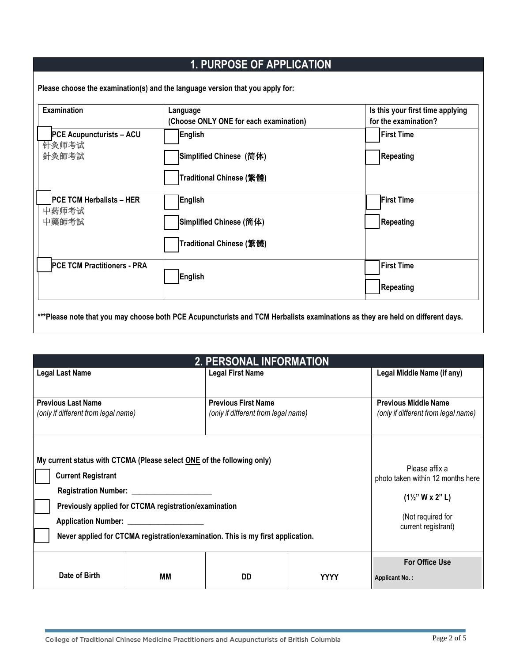## **1. PURPOSE OF APPLICATION**

**Please choose the examination(s) and the language version that you apply for:**

| <b>Examination</b>                       | Language                               | Is this your first time applying<br>for the examination? |  |
|------------------------------------------|----------------------------------------|----------------------------------------------------------|--|
|                                          | (Choose ONLY ONE for each examination) |                                                          |  |
| <b>PCE Acupuncturists - ACU</b><br>针灸师考试 | English                                | <b>First Time</b>                                        |  |
| 針灸師考試                                    | Simplified Chinese (简体)                | <b>Repeating</b>                                         |  |
|                                          | Traditional Chinese (繁體)               |                                                          |  |
| <b>PCE TCM Herbalists - HER</b><br>中药师考试 | English                                | <b>First Time</b>                                        |  |
| 中藥師考試                                    | Simplified Chinese (简体)                | Repeating                                                |  |
|                                          | Traditional Chinese (繁體)               |                                                          |  |
| <b>PCE TCM Practitioners - PRA</b>       |                                        | <b>First Time</b>                                        |  |
|                                          | English                                | <b>Repeating</b>                                         |  |

| <b>2. PERSONAL INFORMATION</b>                                                                                                                                                                                                                                                                                                             |    |                                                                   |                                                                                                                                |                                                                    |
|--------------------------------------------------------------------------------------------------------------------------------------------------------------------------------------------------------------------------------------------------------------------------------------------------------------------------------------------|----|-------------------------------------------------------------------|--------------------------------------------------------------------------------------------------------------------------------|--------------------------------------------------------------------|
| <b>Legal Last Name</b>                                                                                                                                                                                                                                                                                                                     |    | <b>Legal First Name</b>                                           |                                                                                                                                | Legal Middle Name (if any)                                         |
| <b>Previous Last Name</b><br>(only if different from legal name)                                                                                                                                                                                                                                                                           |    | <b>Previous First Name</b><br>(only if different from legal name) |                                                                                                                                | <b>Previous Middle Name</b><br>(only if different from legal name) |
| My current status with CTCMA (Please select ONE of the following only)<br><b>Current Registrant</b><br>Registration Number: ______________________<br>Previously applied for CTCMA registration/examination<br>Application Number: ____________________<br>Never applied for CTCMA registration/examination. This is my first application. |    |                                                                   | Please affix a<br>photo taken within 12 months here<br>$(1\frac{1}{2}$ " W x 2" L)<br>(Not required for<br>current registrant) |                                                                    |
| Date of Birth                                                                                                                                                                                                                                                                                                                              | MМ | DD                                                                | <b>YYYY</b>                                                                                                                    | <b>For Office Use</b><br><b>Applicant No.:</b>                     |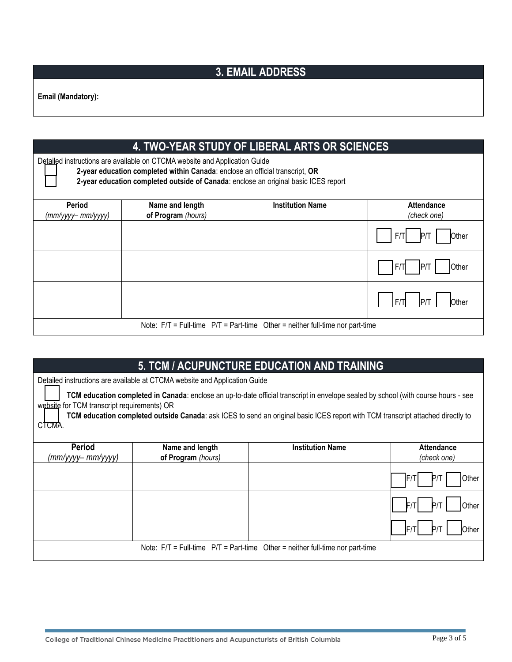# **3. EMAIL ADDRESS**

**Email (Mandatory):**

| 4. TWO-YEAR STUDY OF LIBERAL ARTS OR SCIENCES                                                                                                                                                                                                     |                                       |                         |                                  |
|---------------------------------------------------------------------------------------------------------------------------------------------------------------------------------------------------------------------------------------------------|---------------------------------------|-------------------------|----------------------------------|
| Detailed instructions are available on CTCMA website and Application Guide<br>2-year education completed within Canada: enclose an official transcript, OR<br>2-year education completed outside of Canada: enclose an original basic ICES report |                                       |                         |                                  |
| <b>Period</b><br>$(mm/yyy - mm/yyy)$                                                                                                                                                                                                              | Name and length<br>of Program (hours) | <b>Institution Name</b> | <b>Attendance</b><br>(check one) |
|                                                                                                                                                                                                                                                   |                                       |                         | Other<br>F/TI                    |
|                                                                                                                                                                                                                                                   |                                       |                         | Other<br>F/T<br>IP/T             |
|                                                                                                                                                                                                                                                   |                                       |                         | I F/T<br>Other<br><b>IP/T</b>    |
| Note: $F/T = Full-time$ $P/T = Part-time$ Other = neither full-time nor part-time                                                                                                                                                                 |                                       |                         |                                  |

| 5. TCM / ACUPUNCTURE EDUCATION AND TRAINING                                                                                                                                                                                                                                                                                    |                    |                         |                      |
|--------------------------------------------------------------------------------------------------------------------------------------------------------------------------------------------------------------------------------------------------------------------------------------------------------------------------------|--------------------|-------------------------|----------------------|
| Detailed instructions are available at CTCMA website and Application Guide                                                                                                                                                                                                                                                     |                    |                         |                      |
| TCM education completed in Canada: enclose an up-to-date official transcript in envelope sealed by school (with course hours - see<br>website for TCM transcript requirements) OR<br>TCM education completed outside Canada: ask ICES to send an original basic ICES report with TCM transcript attached directly to<br>CTCMA. |                    |                         |                      |
| <b>Period</b>                                                                                                                                                                                                                                                                                                                  | Name and length    | <b>Institution Name</b> | <b>Attendance</b>    |
| $(mm/yyy - mm/yyy)$                                                                                                                                                                                                                                                                                                            | of Program (hours) |                         | (check one)          |
|                                                                                                                                                                                                                                                                                                                                |                    |                         | Other<br>IF,         |
|                                                                                                                                                                                                                                                                                                                                |                    |                         | Other                |
|                                                                                                                                                                                                                                                                                                                                |                    |                         | IF/<br>P/I<br>lOther |
| Note: $F/T = Full-time$ $P/T = Part-time$ Other = neither full-time nor part-time                                                                                                                                                                                                                                              |                    |                         |                      |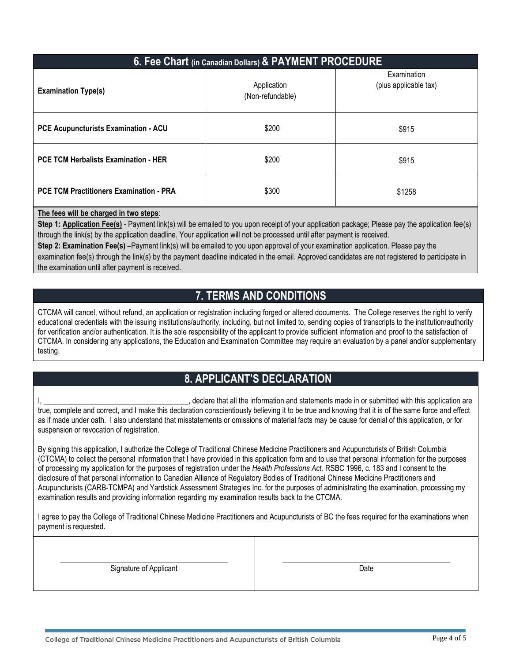| 6. Fee Chart (in Canadian Dollars) & PAYMENT PROCEDURE |                                 |                                      |  |
|--------------------------------------------------------|---------------------------------|--------------------------------------|--|
| <b>Examination Type(s)</b>                             | Application<br>(Non-refundable) | Examination<br>(plus applicable tax) |  |
| <b>PCE Acupuncturists Examination - ACU</b>            | \$200                           | \$915                                |  |
| <b>PCE TCM Herbalists Examination - HER</b>            | \$200                           | \$915                                |  |
| <b>PCE TCM Practitioners Examination - PRA</b>         | \$300                           | \$1258                               |  |

#### **The fees will be charged in two steps**:

Step 1: **Application Fee(s)** - Payment link(s) will be emailed to you upon receipt of your application package; Please pay the application fee(s) through the link(s) by the application deadline. Your application will not be processed until after payment is received.

**Step 2: Examination Fee(s)** –Payment link(s) will be emailed to you upon approval of your examination application. Please pay the examination fee(s) through the link(s) by the payment deadline indicated in the email. Approved candidates are not registered to participate in the examination until after payment is received.

#### **7. TERMS AND CONDITIONS**

CTCMA will cancel, without refund, an application or registration including forged or altered documents. The College reserves the right to verify educational credentials with the issuing institutions/authority, including, but not limited to, sending copies of transcripts to the institution/authority for verification and/or authentication. It is the sole responsibility of the applicant to provide sufficient information and proof to the satisfaction of CTCMA. In considering any applications, the Education and Examination Committee may require an evaluation by a panel and/or supplementary testing.

### **8. APPLICANT'S DECLARATION**

I, the information and statements made in or submitted with this application are true, complete and correct, and I make this declaration conscientiously believing it to be true and knowing that it is of the same force and effect as if made under oath. I also understand that misstatements or omissions of material facts may be cause for denial of this application, or for suspension or revocation of registration.

By signing this application, I authorize the College of Traditional Chinese Medicine Practitioners and Acupuncturists of British Columbia (CTCMA) to collect the personal information that I have provided in this application form and to use that personal information for the purposes of processing my application for the purposes of registration under the *Health Professions Act,* RSBC 1996, c. 183 and I consent to the disclosure of that personal information to Canadian Alliance of Regulatory Bodies of Traditional Chinese Medicine Practitioners and Acupuncturists (CARB-TCMPA) and Yardstick Assessment Strategies Inc. for the purposes of administrating the examination, processing my examination results and providing information regarding my examination results back to the CTCMA.

I agree to pay the College of Traditional Chinese Medicine Practitioners and Acupuncturists of BC the fees required for the examinations when payment is requested.

\_\_\_\_\_\_\_\_\_\_\_\_\_\_\_\_\_\_\_\_\_\_\_\_\_\_\_\_\_\_\_\_\_\_\_\_\_\_\_\_\_\_\_\_ Signature of Applicant

\_\_\_\_\_\_\_\_\_\_\_\_\_\_\_\_\_\_\_\_\_\_\_\_\_\_\_\_\_\_\_\_\_\_\_\_\_\_\_\_\_\_\_\_ **Date**